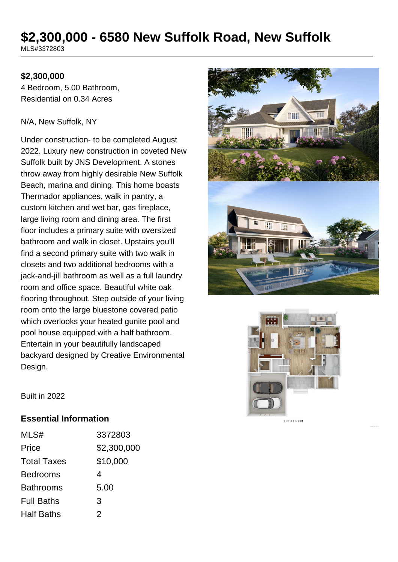# **\$2,300,000 - 6580 New Suffolk Road, New Suffolk**

MLS#3372803

## **\$2,300,000**

4 Bedroom, 5.00 Bathroom, Residential on 0.34 Acres

#### N/A, New Suffolk, NY

Under construction- to be completed August 2022. Luxury new construction in coveted New Suffolk built by JNS Development. A stones throw away from highly desirable New Suffolk Beach, marina and dining. This home boasts Thermador appliances, walk in pantry, a custom kitchen and wet bar, gas fireplace, large living room and dining area. The first floor includes a primary suite with oversized bathroom and walk in closet. Upstairs you'll find a second primary suite with two walk in closets and two additional bedrooms with a jack-and-jill bathroom as well as a full laundry room and office space. Beautiful white oak flooring throughout. Step outside of your living room onto the large bluestone covered patio which overlooks your heated gunite pool and pool house equipped with a half bathroom. Entertain in your beautifully landscaped backyard designed by Creative Environmental Design.





Built in 2022

#### **Essential Information**

| MLS#               | 3372803     |
|--------------------|-------------|
| Price              | \$2,300,000 |
| <b>Total Taxes</b> | \$10,000    |
| <b>Bedrooms</b>    | 4           |
| <b>Bathrooms</b>   | 5.00        |
| <b>Full Baths</b>  | 3           |
| <b>Half Baths</b>  | 2           |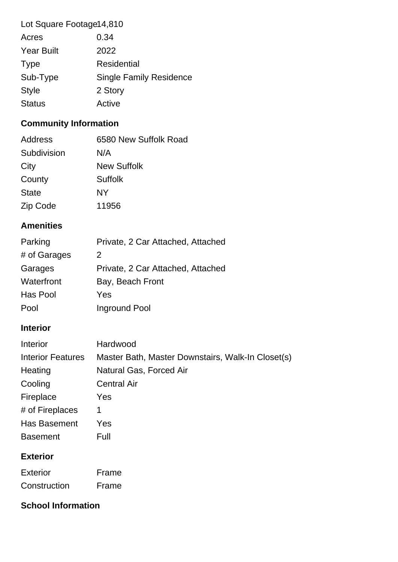| Lot Square Footage14,810 |                                |
|--------------------------|--------------------------------|
| Acres                    | 0.34                           |
| <b>Year Built</b>        | 2022                           |
| <b>Type</b>              | <b>Residential</b>             |
| Sub-Type                 | <b>Single Family Residence</b> |
| <b>Style</b>             | 2 Story                        |
| <b>Status</b>            | Active                         |

## **Community Information**

| 6580 New Suffolk Road |
|-----------------------|
| N/A                   |
| <b>New Suffolk</b>    |
| Suffolk               |
| NY                    |
| 11956                 |
|                       |

## **Amenities**

| Parking      | Private, 2 Car Attached, Attached |
|--------------|-----------------------------------|
| # of Garages | 2                                 |
| Garages      | Private, 2 Car Attached, Attached |
| Waterfront   | Bay, Beach Front                  |
| Has Pool     | Yes                               |
| Pool         | Inground Pool                     |

## **Interior**

| Interior                 | Hardwood                                          |
|--------------------------|---------------------------------------------------|
| <b>Interior Features</b> | Master Bath, Master Downstairs, Walk-In Closet(s) |
| Heating                  | Natural Gas, Forced Air                           |
| Cooling                  | <b>Central Air</b>                                |
| Fireplace                | <b>Yes</b>                                        |
| # of Fireplaces          | 1                                                 |
| Has Basement             | Yes                                               |
| <b>Basement</b>          | Full                                              |
| F.4.                     |                                                   |

## **Exterior**

| Exterior     | Frame |
|--------------|-------|
| Construction | Frame |

## **School Information**